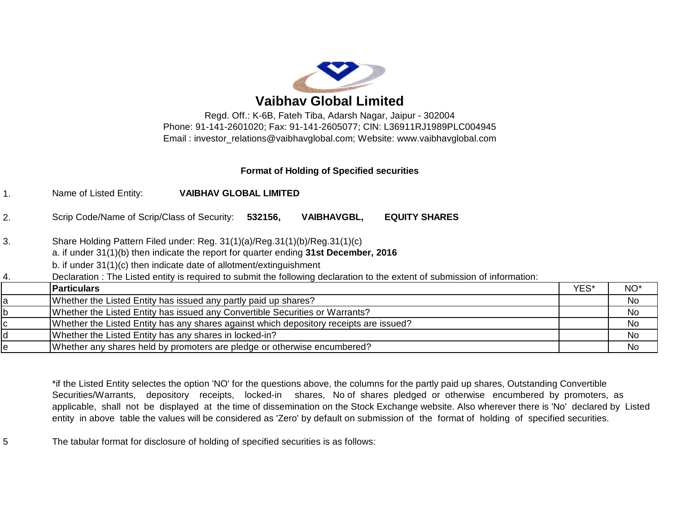

**Vaibhav Global Limited**

Regd. Off.: K-6B, Fateh Tiba, Adarsh Nagar, Jaipur - 302004 Phone: 91-141-2601020; Fax: 91-141-2605077; CIN: L36911RJ1989PLC004945 Email : [investor\\_relations@vaibhavglobal.com;](mailto:investor_relations@vaibhavglobal.com;) Website: [www.vaibhavglobal.com](http://www.vaibhavglobal.com)

## **Format of Holding of Specified securities**

1. Name of Listed Entity: **VAIBHAV GLOBAL LIMITED**

2. Scrip Code/Name of Scrip/Class of Security: **532156, VAIBHAVGBL, EQUITY SHARES**

3. Share Holding Pattern Filed under: Reg. 31(1)(a)/Reg.31(1)(b)/Reg.31(1)(c)

a. if under 31(1)(b) then indicate the report for quarter ending **31st December, 2016**

b. if under 31(1)(c) then indicate date of allotment/extinguishment

4. Declaration : The Listed entity is required to submit the following declaration to the extent of submission of information:

| <b>Particulars</b>                                                                     | YES* | NO <sup>*</sup> |
|----------------------------------------------------------------------------------------|------|-----------------|
| Whether the Listed Entity has issued any partly paid up shares?                        |      | <b>No</b>       |
| Whether the Listed Entity has issued any Convertible Securities or Warrants?           |      | <b>No</b>       |
| Whether the Listed Entity has any shares against which depository receipts are issued? |      | <b>No</b>       |
| Whether the Listed Entity has any shares in locked-in?                                 |      | No              |
| Whether any shares held by promoters are pledge or otherwise encumbered?               |      | No              |

\*if the Listed Entity selectes the option 'NO' for the questions above, the columns for the partly paid up shares, Outstanding Convertible Securities/Warrants, depository receipts, locked-in shares, No of shares pledged or otherwise encumbered by promoters, as applicable, shall not be displayed at the time of dissemination on the Stock Exchange website. Also wherever there is 'No' declared by Listed entity in above table the values will be considered as 'Zero' by default on submission of the format of holding of specified securities.

5 The tabular format for disclosure of holding of specified securities is as follows: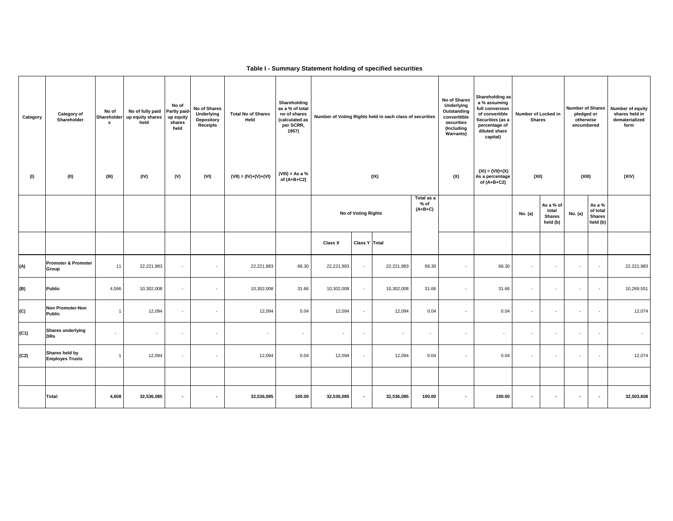## **Table I - Summary Statement holding of specified securities**

| Category<br>(1) | Category of<br>Shareholder<br>(II)       | No of<br>Shareholder<br>s<br>(III) | No of fully paid<br>up equity shares<br>held<br>(IV) | No of<br>Partly paid<br>up equity<br>shares<br>held<br>(V) | No of Shares<br>Underlying<br><b>Depository</b><br>Receipts<br>(VI) | <b>Total No of Shares</b><br>Held<br>$(VII) = (IV)+(V)+(VI)$ | Shareholding<br>as a % of total<br>no of shares<br>(calculated as<br>per SCRR,<br>1957)<br>$(VIII)$ = As a %<br>of $(A+B+C2)$ |            |                     | Number of Voting Rights held in each class of securities<br>(IX) | No of Shares<br>Underlying<br>Outstanding<br>converttible<br>securities<br>(Including<br>Warrants)<br>(X) |        | Shareholding as<br>a % assuming<br>full conversion<br>of convertible<br>Securities (as a<br>percentage of<br>diluted share<br>capital)<br>$(XI) = (VII)+(X)$<br>As a percentage<br>of $(A+B+C2)$ | Number of Locked in<br><b>Shares</b><br>(XII) |                                                 | <b>Number of Shares</b><br>pledged or<br>otherwise<br>encumbered<br>(XIII) |                                                 | Number of equity<br>shares held in<br>dematerialized<br>form<br>(XIV) |
|-----------------|------------------------------------------|------------------------------------|------------------------------------------------------|------------------------------------------------------------|---------------------------------------------------------------------|--------------------------------------------------------------|-------------------------------------------------------------------------------------------------------------------------------|------------|---------------------|------------------------------------------------------------------|-----------------------------------------------------------------------------------------------------------|--------|--------------------------------------------------------------------------------------------------------------------------------------------------------------------------------------------------|-----------------------------------------------|-------------------------------------------------|----------------------------------------------------------------------------|-------------------------------------------------|-----------------------------------------------------------------------|
|                 |                                          |                                    |                                                      |                                                            |                                                                     |                                                              |                                                                                                                               |            | No of Voting Rights |                                                                  | Total as a<br>% of<br>$(A+B+C)$                                                                           |        |                                                                                                                                                                                                  | No. (a)                                       | As a % of<br>total<br><b>Shares</b><br>held (b) | No. (a)                                                                    | As a %<br>of total<br><b>Shares</b><br>held (b) |                                                                       |
|                 |                                          |                                    |                                                      |                                                            |                                                                     |                                                              |                                                                                                                               | Class X    | Class Y Total       |                                                                  |                                                                                                           |        |                                                                                                                                                                                                  |                                               |                                                 |                                                                            |                                                 |                                                                       |
| (A)             | <b>Promoter &amp; Promoter</b><br>Group  | 11                                 | 22,221,983                                           | $\sim$                                                     | $\epsilon$                                                          | 22,221,983                                                   | 68.30                                                                                                                         | 22,221,983 | $\sim$              | 22,221,983                                                       | 68.30                                                                                                     | $\sim$ | 68.30                                                                                                                                                                                            | ٠                                             | $\overline{\phantom{a}}$                        | $\sim$                                                                     | $\sim$                                          | 22,221,983                                                            |
| (B)             | Public                                   | 4,596                              | 10,302,008                                           | $\sim$                                                     | $\cdot$                                                             | 10,302,008                                                   | 31.66                                                                                                                         | 10,302,008 | $\sim$              | 10,302,008                                                       | 31.66                                                                                                     | $\sim$ | 31.66                                                                                                                                                                                            | $\overline{\phantom{a}}$                      | $\cdot$                                         | $\sim$                                                                     | $\sim$                                          | 10,269,551                                                            |
| (C)             | Non Promoter-Non<br>Public               | $\mathbf{1}$                       | 12,094                                               | $\sim$                                                     | $\overline{\phantom{a}}$                                            | 12,094                                                       | 0.04                                                                                                                          | 12,094     | $\sim$              | 12,094                                                           | 0.04                                                                                                      | $\sim$ | 0.04                                                                                                                                                                                             | ٠                                             | $\overline{\phantom{a}}$                        | $\sim$                                                                     | $\overline{\phantom{a}}$                        | 12,074                                                                |
| (C1)            | <b>Shares underlying</b><br><b>DRs</b>   | $\overline{\phantom{a}}$           | $\sim$                                               | $\sim$                                                     | $\cdot$                                                             | $\overline{\phantom{a}}$                                     | $\sim$                                                                                                                        | $\sim$     | $\sim$              | $\cdot$                                                          | $\cdot$                                                                                                   | $\sim$ | $\sim$                                                                                                                                                                                           | $\overline{\phantom{a}}$                      | $\overline{\phantom{a}}$                        | $\sim$                                                                     | $\overline{\phantom{a}}$                        | $\overline{\phantom{a}}$                                              |
| (C2)            | Shares held by<br><b>Employes Trusts</b> | $\mathbf{1}$                       | 12,094                                               | $\sim$                                                     | $\sim$                                                              | 12,094                                                       | 0.04                                                                                                                          | 12,094     | $\sim$              | 12,094                                                           | 0.04                                                                                                      | $\sim$ | 0.04                                                                                                                                                                                             | $\mathbf{r}$                                  | $\sim$                                          | $\sim$                                                                     | . .                                             | 12,074                                                                |
|                 |                                          |                                    |                                                      |                                                            |                                                                     |                                                              |                                                                                                                               |            |                     |                                                                  |                                                                                                           |        |                                                                                                                                                                                                  |                                               |                                                 |                                                                            |                                                 |                                                                       |
|                 | Total:                                   | 4,608                              | 32,536,085                                           | $\blacksquare$                                             | $\blacksquare$                                                      | 32,536,085                                                   | 100.00                                                                                                                        | 32,536,085 | $\sim$              | 32,536,085                                                       | 100.00                                                                                                    | $\sim$ | 100.00                                                                                                                                                                                           | $\blacksquare$                                | $\overline{\phantom{a}}$                        | $\sim$                                                                     | $\sim$                                          | 32,503,608                                                            |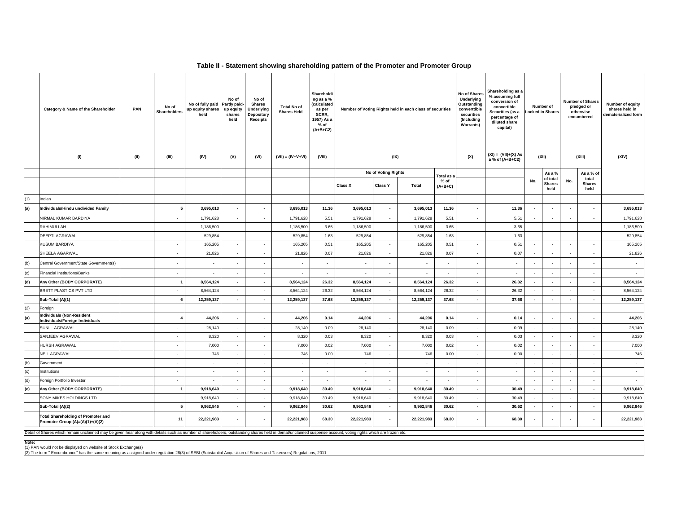## **Table II - Statement showing shareholding pattern of the Promoter and Promoter Group**

|     | Category & Name of the Shareholder                                                                                                                                                                            | PAN  | No of<br><b>Shareholders</b> | No of fully paid<br>up equity shares<br>held | No of<br>Partly paid-<br>up equity<br>shares<br>held | No of<br><b>Shares</b><br><b>Underlying</b><br><b>Depository</b><br><b>Receipts</b> | <b>Total No of</b><br><b>Shares Held</b> | Shareholdi<br>ng as a %<br>(calculated<br>as per<br>SCRR,<br>1957) As a<br>% of<br>$(A+B+C2)$ | Number of Voting Rights held in each class of securities |                          |                          |                   | No of Shares<br>Underlying<br>Outstanding<br>converttible<br>securities<br>(Including<br>Warrants) | Shareholding as a<br>% assuming full<br>conversion of<br>convertible<br>Securities (as a<br>percentage of<br>diluted share<br>capital) |                          | Number of<br>ocked in Shares      |                          | <b>Number of Shares</b><br>pledged or<br>otherwise<br>encumbered | Number of equity<br>shares held in<br>dematerialized form |
|-----|---------------------------------------------------------------------------------------------------------------------------------------------------------------------------------------------------------------|------|------------------------------|----------------------------------------------|------------------------------------------------------|-------------------------------------------------------------------------------------|------------------------------------------|-----------------------------------------------------------------------------------------------|----------------------------------------------------------|--------------------------|--------------------------|-------------------|----------------------------------------------------------------------------------------------------|----------------------------------------------------------------------------------------------------------------------------------------|--------------------------|-----------------------------------|--------------------------|------------------------------------------------------------------|-----------------------------------------------------------|
|     | (1)                                                                                                                                                                                                           | (II) | (III)                        | (IV)                                         | (V)                                                  | (VI)                                                                                | $(VII) = (IV+V+VI)$                      | (VIII)                                                                                        |                                                          | (IX)                     |                          |                   |                                                                                                    | $(XI) = (VII)+(X) As$<br>a % of (A+B+C2)                                                                                               | (XII)                    |                                   |                          | (XIII)                                                           | (XIV)                                                     |
|     |                                                                                                                                                                                                               |      |                              |                                              |                                                      |                                                                                     |                                          |                                                                                               |                                                          | No of Voting Rights      |                          | Total as          |                                                                                                    |                                                                                                                                        |                          | As a %                            |                          | As a % of                                                        |                                                           |
|     |                                                                                                                                                                                                               |      |                              |                                              |                                                      |                                                                                     |                                          |                                                                                               | Class X                                                  | <b>Class Y</b>           | <b>Total</b>             | % of<br>$(A+B+C)$ |                                                                                                    |                                                                                                                                        | No.                      | of total<br><b>Shares</b><br>held | No.                      | total<br><b>Shares</b><br>held                                   |                                                           |
| (1) | Indian                                                                                                                                                                                                        |      |                              |                                              |                                                      |                                                                                     |                                          |                                                                                               |                                                          |                          |                          |                   |                                                                                                    |                                                                                                                                        |                          |                                   |                          |                                                                  |                                                           |
| (a) | Individuals/Hindu undivided Family                                                                                                                                                                            |      | 5                            | 3,695,013                                    | $\overline{\phantom{a}}$                             | $\overline{\phantom{a}}$                                                            | 3,695,013                                | 11.36                                                                                         | 3,695,013                                                | $\overline{\phantom{a}}$ | 3,695,013                | 11.36             | $\overline{\phantom{a}}$                                                                           | 11.36                                                                                                                                  | $\overline{\phantom{a}}$ | $\sim$                            | $\overline{\phantom{a}}$ |                                                                  | 3,695,013                                                 |
|     | NIRMAL KUMAR BARDIYA                                                                                                                                                                                          |      | $\sim$                       | 1,791,628                                    | $\sim$                                               | $\sim$                                                                              | 1,791,628                                | 5.51                                                                                          | 1,791,628                                                | $\sim$                   | 1,791,628                | 5.51              | $\sim$                                                                                             | 5.51                                                                                                                                   | $\sim$                   | $\sim$                            | $\overline{\phantom{a}}$ | $\overline{\phantom{a}}$                                         | 1,791,628                                                 |
|     | RAHIMULLAH                                                                                                                                                                                                    |      | $\sim$                       | 1,186,500                                    | $\sim$                                               | $\sim$                                                                              | 1,186,500                                | 3.65                                                                                          | 1,186,500                                                | $\sim$                   | 1,186,500                | 3.65              | $\sim$                                                                                             | 3.65                                                                                                                                   | $\sim$                   | $\sim$                            | ۰.                       | $\sim$                                                           | 1,186,500                                                 |
|     | DEEPTI AGRAWAL                                                                                                                                                                                                |      | $\sim$                       | 529,854                                      | $\sim$                                               | $\sim$                                                                              | 529,854                                  | 1.63                                                                                          | 529,854                                                  | $\sim$                   | 529,854                  | 1.63              | $\sim$                                                                                             | 1.63                                                                                                                                   | $\sim$                   | $\sim$                            | $\sim$                   | $\sim$                                                           | 529,854                                                   |
|     | <b>KUSUM BARDIYA</b>                                                                                                                                                                                          |      | $\sim$                       | 165,205                                      | $\sim$                                               | $\sim$                                                                              | 165,205                                  | 0.51                                                                                          | 165,205                                                  | $\sim$                   | 165,205                  | 0.51              | $\sim$                                                                                             | 0.51                                                                                                                                   | $\overline{\phantom{a}}$ | $\sim$                            | $\overline{\phantom{a}}$ | $\sim$                                                           | 165,205                                                   |
|     | SHEELA AGARWAL                                                                                                                                                                                                |      | $\sim$                       | 21,826                                       | $\sim$                                               | $\mathbf{r}$                                                                        | 21,826                                   | 0.07                                                                                          | 21.826                                                   | $\sim$                   | 21,826                   | 0.07              | $\sim$                                                                                             | 0.07                                                                                                                                   | $\sim$                   | $\sim$                            | $\sim$                   | $\sim$                                                           | 21,826                                                    |
| (b) | Central Government/State Government(s)                                                                                                                                                                        |      | $\sim$                       | $\overline{\phantom{a}}$                     |                                                      | $\overline{\phantom{a}}$                                                            | $\sim$                                   | $\overline{\phantom{a}}$                                                                      | $\overline{\phantom{a}}$                                 |                          | $\overline{\phantom{a}}$ |                   |                                                                                                    | $\sim$                                                                                                                                 | $\sim$                   |                                   |                          |                                                                  | $\overline{\phantom{a}}$                                  |
| (c) | <b>Financial Institutions/Banks</b>                                                                                                                                                                           |      | $\sim$                       | $\sim$                                       | $\sim$                                               | $\sim$                                                                              | $\sim$                                   | $\sim$                                                                                        | $\sim$                                                   | $\sim$                   | $\sim$                   | $\sim$            | $\sim$                                                                                             | $\sim$                                                                                                                                 | $\sim$                   | $\sim$                            | $\sim$                   | $\sim$                                                           | $\sim$                                                    |
| (d) | Any Other (BODY CORPORATE)                                                                                                                                                                                    |      | $\mathbf{1}$                 | 8,564,124                                    | $\sim$                                               | $\overline{\phantom{a}}$                                                            | 8,564,124                                | 26.32                                                                                         | 8,564,124                                                | $\overline{\phantom{a}}$ | 8,564,124                | 26.32             | $\sim$                                                                                             | 26.32                                                                                                                                  | $\overline{\phantom{a}}$ | $\overline{\phantom{a}}$          | $\overline{\phantom{a}}$ | $\overline{\phantom{a}}$                                         | 8,564,124                                                 |
|     | BRETT PLASTICS PVT LTD                                                                                                                                                                                        |      | $\overline{\phantom{a}}$     | 8,564,124                                    |                                                      | $\overline{\phantom{a}}$                                                            | 8,564,124                                | 26.32                                                                                         | 8,564,124                                                | $\sim$                   | 8,564,124                | 26.32             |                                                                                                    | 26.32                                                                                                                                  | $\overline{\phantom{a}}$ |                                   |                          | $\sim$                                                           | 8,564,124                                                 |
|     | Sub-Total (A)(1)                                                                                                                                                                                              |      | 6                            | 12,259,137                                   | $\overline{\phantom{a}}$                             | $\sim$                                                                              | 12,259,137                               | 37.68                                                                                         | 12,259,137                                               | $\sim$                   | 12,259,137               | 37.68             | $\overline{\phantom{a}}$                                                                           | 37.68                                                                                                                                  | $\overline{\phantom{a}}$ | $\overline{\phantom{a}}$          | $\sim$                   | $\overline{\phantom{a}}$                                         | 12,259,137                                                |
| (2) | Foreign                                                                                                                                                                                                       |      |                              |                                              |                                                      |                                                                                     |                                          |                                                                                               |                                                          |                          |                          |                   |                                                                                                    |                                                                                                                                        |                          |                                   |                          |                                                                  |                                                           |
| (a) | <b>Individuals (Non-Resident</b><br>Individuals/Foreign Individuals                                                                                                                                           |      | 4                            | 44.206                                       | $\overline{\phantom{a}}$                             | $\blacksquare$                                                                      | 44.206                                   | 0.14                                                                                          | 44.206                                                   | $\overline{\phantom{a}}$ | 44,206                   | 0.14              | $\overline{\phantom{a}}$                                                                           | 0.14                                                                                                                                   | $\overline{\phantom{a}}$ |                                   | $\overline{\phantom{a}}$ | $\overline{\phantom{a}}$                                         | 44,206                                                    |
|     | SUNIL AGRAWAL                                                                                                                                                                                                 |      | $\sim$                       | 28,140                                       | $\sim$                                               | $\sim$                                                                              | 28,140                                   | 0.09                                                                                          | 28.140                                                   | $\sim$                   | 28,140                   | 0.09              | $\sim$                                                                                             | 0.09                                                                                                                                   | $\sim$                   | $\sim$                            | $\sim$                   | $\sim$                                                           | 28,140                                                    |
|     | SANJEEV AGRAWAL                                                                                                                                                                                               |      | $\sim$                       | 8,320                                        | $\sim$                                               | $\overline{\phantom{a}}$                                                            | 8,320                                    | 0.03                                                                                          | 8,320                                                    | $\sim$                   | 8,320                    | 0.03              | $\sim$                                                                                             | 0.03                                                                                                                                   | $\sim$                   | $\sim$                            | $\sim$                   | $\sim$                                                           | 8,320                                                     |
|     | HURSH AGRAWAL                                                                                                                                                                                                 |      | $\sim$                       | 7,000                                        | $\sim$                                               | $\sim$                                                                              | 7,000                                    | 0.02                                                                                          | 7,000                                                    | $\sim$                   | 7,000                    | 0.02              | $\sim$                                                                                             | 0.02                                                                                                                                   | $\sim$                   | $\sim$                            | $\sim$                   | $\sim$                                                           | 7,000                                                     |
|     | NEIL AGRAWAL                                                                                                                                                                                                  |      | $\sim$                       | 746                                          | $\sim$                                               | $\sim$                                                                              | 746                                      | 0.00                                                                                          | 746                                                      | $\sim$                   | 746                      | 0.00              |                                                                                                    | 0.00                                                                                                                                   | $\sim$                   |                                   | $\overline{a}$           | $\sim$                                                           | 746                                                       |
| (b) | Government                                                                                                                                                                                                    |      | $\sim$                       | $\mathbf{r}$                                 | $\sim$                                               | $\overline{\phantom{a}}$                                                            | $\sim$                                   | $\sim$                                                                                        | $\mathbf{r}$                                             | $\sim$                   | $\sim$                   | $\sim$            | $\sim$                                                                                             | $\sim$                                                                                                                                 | $\sim$                   | $\sim$                            | $\sim$                   | $\sim$                                                           | $\sim$                                                    |
| (c) | Institutions                                                                                                                                                                                                  |      | $\sim$                       | $\sim$                                       | $\sim$                                               | $\sim$                                                                              | $\sim$                                   | $\sim$                                                                                        | $\sim$                                                   | $\sim$                   | $\sim$                   | $\sim$            | $\sim$                                                                                             | $\sim$                                                                                                                                 | $\sim$                   | $\sim$                            | $\sim$                   | $\sim$                                                           | $\sim$                                                    |
| (d) | Foreign Portfolio Investor                                                                                                                                                                                    |      | $\sim$                       | $\blacksquare$                               | $\sim$                                               | $\overline{\phantom{a}}$                                                            | $\sim$                                   | $\sim$                                                                                        | $\sim$                                                   | $\sim$                   | $\sim$                   | $\sim$            | $\sim$                                                                                             | $\sim$                                                                                                                                 | $\mathcal{L}$            | $\sim$                            | $\sim$                   | $\sim$                                                           | $\overline{\phantom{a}}$                                  |
| (e) | Any Other (BODY CORPORATE)                                                                                                                                                                                    |      | $\mathbf{1}$                 | 9,918,640                                    | $\overline{\phantom{a}}$                             | $\overline{\phantom{a}}$                                                            | 9,918,640                                | 30.49                                                                                         | 9,918,640                                                | $\sim$                   | 9,918,640                | 30.49             | $\sim$                                                                                             | 30.49                                                                                                                                  | $\overline{\phantom{a}}$ | $\overline{\phantom{a}}$          | $\overline{\phantom{a}}$ | $\overline{\phantom{a}}$                                         | 9,918,640                                                 |
|     | SONY MIKES HOLDINGS LTD                                                                                                                                                                                       |      |                              | 9,918,640                                    | $\sim$                                               | $\blacksquare$                                                                      | 9,918,640                                | 30.49                                                                                         | 9,918,640                                                | $\sim$                   | 9,918,640                | 30.49             | $\sim$                                                                                             | 30.49                                                                                                                                  | $\sim$                   |                                   | $\overline{a}$           | $\sim$                                                           | 9,918,640                                                 |
|     | Sub-Total (A)(2)                                                                                                                                                                                              |      | 5                            | 9,962,846                                    | $\overline{\phantom{a}}$                             | $\blacksquare$                                                                      | 9,962,846                                | 30.62                                                                                         | 9,962,846                                                | $\sim$                   | 9,962,846                | 30.62             | $\sim$                                                                                             | 30.62                                                                                                                                  | $\overline{\phantom{a}}$ | $\blacksquare$                    | $\blacksquare$           | $\sim$                                                           | 9,962,846                                                 |
|     | <b>Total Shareholding of Promoter and</b><br>Promoter Group (A)=(A)(1)+(A)(2)                                                                                                                                 |      | 11                           | 22,221,983                                   |                                                      | $\overline{\phantom{a}}$                                                            | 22,221,983                               | 68.30                                                                                         | 22,221,983                                               | $\overline{\phantom{a}}$ | 22,221,983               | 68.30             |                                                                                                    | 68.30                                                                                                                                  | $\blacksquare$           |                                   | $\overline{\phantom{a}}$ |                                                                  | 22,221,983                                                |
|     | Detail of Shares which remain unclaimed may be given hear along with details such as number of shareholders, outstanding shares held in demat/unclaimed suspense account, voting rights which are frozen etc. |      |                              |                                              |                                                      |                                                                                     |                                          |                                                                                               |                                                          |                          |                          |                   |                                                                                                    |                                                                                                                                        |                          |                                   |                          |                                                                  |                                                           |

**Note:**

(1) PAN would not be displayed on website of Stock Exchange(s) (2) The term " Encumbrance" has the same meaning as assigned under regulation 28(3) of SEBI (Substantial Acquisition of Shares and Takeovers) Regulations, 2011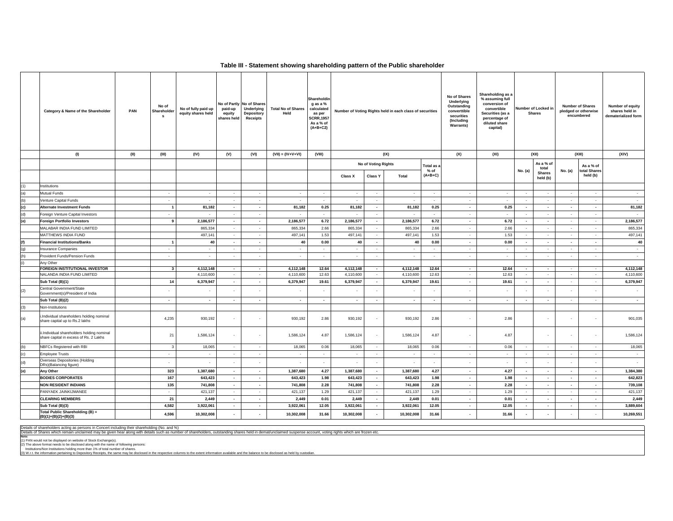## **Table III - Statement showing shareholding pattern of the Public shareholder**

|     | Category & Name of the Shareholder                                                   | PAN  | No of<br>Shareholder<br>s | No of fully paid up<br>equity shares held | paid-up<br>equity<br>shares held | No of Partly No of Shares<br>Underlying<br>Depository<br><b>Receipts</b> | <b>Total No of Shares</b><br>Held | Shareholdin<br>g as a %<br>calculated<br>as per<br><b>SCRR,1957</b><br>As a % of<br>$(A+B+C2)$ | Number of Voting Rights held in each class of securities |                          |                          | No of Shares<br>Underlying<br>Outstanding<br>converttible<br>securities<br>(Including<br><b>Warrants)</b> | Shareholding as a<br>% assuming full<br>conversion of<br>convertible<br>Number of Locked in<br>Securities (as a<br><b>Shares</b><br>percentage of<br>diluted share<br>capital) |                |                          |                                    | <b>Number of Shares</b><br>pledged or otherwise<br>encumbered | Number of equity<br>shares held in<br>dematerialized form |                        |
|-----|--------------------------------------------------------------------------------------|------|---------------------------|-------------------------------------------|----------------------------------|--------------------------------------------------------------------------|-----------------------------------|------------------------------------------------------------------------------------------------|----------------------------------------------------------|--------------------------|--------------------------|-----------------------------------------------------------------------------------------------------------|--------------------------------------------------------------------------------------------------------------------------------------------------------------------------------|----------------|--------------------------|------------------------------------|---------------------------------------------------------------|-----------------------------------------------------------|------------------------|
|     | (1)                                                                                  | (II) | (III)                     | (IV)                                      | (V)                              | (VI)                                                                     | $(VII) = (IV+V+VI)$               | (VIII)                                                                                         |                                                          |                          | (IX)                     |                                                                                                           | (X)                                                                                                                                                                            | (XI)           |                          | (XII)                              | (XIII)                                                        | (XIV)                                                     |                        |
|     |                                                                                      |      |                           |                                           |                                  |                                                                          |                                   |                                                                                                |                                                          | No of Voting Rights      |                          | Total as a                                                                                                |                                                                                                                                                                                |                |                          | As a % of                          |                                                               | As a % of                                                 |                        |
|     |                                                                                      |      |                           |                                           |                                  |                                                                          |                                   |                                                                                                | <b>Class X</b>                                           | <b>Class Y</b>           | Total                    | % of<br>$(A+B+C)$                                                                                         |                                                                                                                                                                                |                | No. (a)                  | total<br><b>Shares</b><br>held (b) | No. (a)                                                       | total Shares<br>held (b)                                  |                        |
| (1) | Institutions                                                                         |      |                           |                                           |                                  |                                                                          |                                   |                                                                                                |                                                          |                          |                          |                                                                                                           |                                                                                                                                                                                |                |                          |                                    |                                                               |                                                           |                        |
| (a) | Mutual Funds                                                                         |      | $\sim$                    | $\sim$                                    | $\sim$                           | $\sim$                                                                   | $\sim$                            | $\sim$                                                                                         | $\sim$                                                   | $\sim$                   | $\sim$                   | $\sim$                                                                                                    | $\sim$                                                                                                                                                                         | $\sim$         | $\sim$                   | $\sim$                             | $\sim$                                                        | $\sim$                                                    | $\sim$                 |
| (b) | Venture Capital Funds                                                                |      | $\sim$                    | $\sim$                                    | $\sim 10^{-1}$                   | $\sim$                                                                   | $\sim$                            | $\sim$                                                                                         | $\sim$                                                   | $\sim$                   | $\sim$                   | $\sim$                                                                                                    | $\sim$                                                                                                                                                                         | $\sim$         | $\sim$                   | $\sim$                             | $\sim$                                                        | $\sim$                                                    | $\sim$                 |
| (c) | <b>Alternate Investment Funds</b>                                                    |      | $\overline{1}$            | 81,182                                    | $\sim$                           | $\sim$                                                                   | 81,182                            | 0.25                                                                                           | 81,182                                                   | $\sim$                   | 81,182                   | 0.25                                                                                                      | $\overline{\phantom{a}}$                                                                                                                                                       | 0.25           | $\sim$                   | $\sim$                             | $\sim$                                                        | $\sim$                                                    | 81,182                 |
| (d) | Foreign Venture Capital Investors                                                    |      | $\sim$                    | $\sim$                                    | $\sim$                           | $\sim$                                                                   | $\sim$                            | $\sim$                                                                                         | $\sim$                                                   | $\sim$                   | $\sim$                   | $\sim$                                                                                                    | $\sim$                                                                                                                                                                         | $\sim$         | $\sim$                   | $\sim$                             | $\sim$                                                        | $\sim$                                                    | $\sim$                 |
| (e) | <b>Foreign Portfolio Investors</b>                                                   |      | 9                         | 2,186,577                                 | $\overline{\phantom{a}}$         | $\overline{\phantom{a}}$                                                 | 2,186,577                         | 6.72                                                                                           | 2,186,577                                                | $\sim$                   | 2,186,577                | 6.72                                                                                                      | $\overline{\phantom{a}}$                                                                                                                                                       | 6.72           | $\sim$                   | $\sim$                             | $\sim$                                                        | $\sim$                                                    | 2,186,577              |
|     | MALABAR INDIA FUND LIMITED                                                           |      |                           | 865,334                                   | $\sim$                           | $\sim$                                                                   | 865,334                           | 2.66                                                                                           | 865,334                                                  | $\sim$                   | 865,334                  | 2.66                                                                                                      | $\sim$                                                                                                                                                                         | 2.66           | $\sim$                   | $\sim$                             | $\sim$                                                        | $\sim$                                                    | 865,334                |
|     | MATTHEWS INDIA FUND                                                                  |      |                           | 497,141                                   | $\sim$                           | $\sim$                                                                   | 497,141                           | 1.53                                                                                           | 497,141                                                  | $\sim$                   | 497,141                  | 1.53                                                                                                      | $\sim$                                                                                                                                                                         | 1.53           | $\sim$                   | $\sim$                             | $\sim$                                                        | $\sim$                                                    | 497,141                |
| (f) | <b>Financial Institutions/Banks</b>                                                  |      | $\overline{1}$            | 40                                        | $\sim$                           | $\sim$                                                                   | 40                                | 0.00                                                                                           | 40                                                       | $\sim$                   | 40                       | 0.00                                                                                                      | $\blacksquare$                                                                                                                                                                 | 0.00           | $\sim$                   | $\sim$                             | $\sim$                                                        | $\sim$                                                    | 40                     |
| (g) | Insurance Companies                                                                  |      | $\sim$                    | $\sim$                                    | $\sim$                           | $\sim$                                                                   | $\sim$                            | $\sim$                                                                                         | $\sim$                                                   | $\sim$                   | $\sim$                   | $\sim$                                                                                                    | $\sim$                                                                                                                                                                         | $\sim$         | $\overline{\phantom{a}}$ | $\sim$                             | $\sim$                                                        | $\sim$                                                    | $\sim$                 |
| (h) | Provident Funds/Pension Funds                                                        |      | $\sim$                    | $\sim$                                    | $\sim$                           | $\sim$                                                                   | $\sim$                            | $\sim$                                                                                         | $\overline{\phantom{a}}$                                 | $\sim$                   | $\sim$                   | $\sim$                                                                                                    | $\blacksquare$                                                                                                                                                                 | $\sim$         | $\sim$                   | $\sim$                             | $\sim$                                                        | $\sim$                                                    | $\sim$                 |
| (i) | Any Other                                                                            |      |                           |                                           |                                  |                                                                          |                                   |                                                                                                |                                                          |                          |                          |                                                                                                           |                                                                                                                                                                                |                |                          |                                    |                                                               |                                                           |                        |
|     | <b>FOREIGN INSTITUTIONAL INVESTOR</b><br>NALANDA INDIA FUND LIMITED                  |      | $\mathbf{3}$              | 4,112,148<br>4,110,600                    | $\sim$<br>$\sim$                 | $\sim$<br>$\sim$                                                         | 4,112,148<br>4,110,600            | 12.64<br>12.63                                                                                 | 4,112,148<br>4,110,600                                   | $\sim$<br>$\sim$         | 4,112,148<br>4,110,600   | 12.64<br>12.63                                                                                            | $\overline{\phantom{a}}$<br>$\sim$                                                                                                                                             | 12.64<br>12.63 | $\sim$<br>$\sim$         | $\overline{\phantom{a}}$<br>$\sim$ | $\sim$                                                        | $\sim$                                                    | 4,112,148<br>4,110,600 |
|     | Sub Total (B)(1)                                                                     |      | 14                        | 6,379,947                                 | $\overline{\phantom{a}}$         | $\sim$                                                                   | 6,379,947                         | 19.61                                                                                          | 6,379,947                                                | $\sim$                   | 6,379,947                | 19.61                                                                                                     | $\overline{\phantom{a}}$                                                                                                                                                       | 19.61          | $\sim$                   | $\sim$                             | $\sim$                                                        | $\sim$                                                    | 6,379,947              |
| (2) | Central Government/State                                                             |      |                           |                                           |                                  |                                                                          |                                   | $\sim$                                                                                         |                                                          |                          |                          |                                                                                                           | $\sim$                                                                                                                                                                         | $\sim$         |                          |                                    |                                                               |                                                           | $\blacksquare$         |
|     | Government(s)/President of India                                                     |      | $\overline{\phantom{a}}$  | $\sim$                                    | $\overline{\phantom{a}}$         | $\sim$                                                                   | $\sim$                            | $\sim$                                                                                         | $\sim$                                                   | $\overline{\phantom{a}}$ | $\overline{\phantom{a}}$ | $\sim$                                                                                                    | $\overline{\phantom{a}}$                                                                                                                                                       | $\sim$         | $\overline{\phantom{a}}$ | $\sim$                             | $\sim$                                                        | $\sim$                                                    | $\sim$                 |
| (3) | Sub Total (B)(2)<br>Non-Institutions                                                 |      |                           |                                           |                                  |                                                                          |                                   |                                                                                                |                                                          |                          |                          |                                                                                                           |                                                                                                                                                                                |                |                          |                                    |                                                               |                                                           |                        |
|     |                                                                                      |      |                           |                                           |                                  |                                                                          |                                   |                                                                                                |                                                          |                          |                          |                                                                                                           |                                                                                                                                                                                |                |                          |                                    |                                                               |                                                           |                        |
| (a) | i.Individual shareholders holding nominal<br>share capital up to Rs.2 lakhs          |      | 4,235                     | 930,192                                   |                                  | $\sim$                                                                   | 930,192                           | 2.86                                                                                           | 930,192                                                  | $\sim$                   | 930,192                  | 2.86                                                                                                      | $\sim$                                                                                                                                                                         | 2.86           |                          | $\sim$                             |                                                               | $\overline{\phantom{a}}$                                  | 901,035                |
|     | ii.Individual shareholders holding nominal<br>share capital in excess of Rs. 2 Lakhs |      | 21                        | 1,586,124                                 | ٠                                | $\sim$                                                                   | 1,586,124                         | 4.87                                                                                           | 1,586,124                                                | $\sim$                   | 1,586,124                | 4.87                                                                                                      | $\sim$                                                                                                                                                                         | 4.87           |                          | $\sim$                             | $\sim$                                                        | $\sim$                                                    | 1,586,124              |
| (b) | NBFCs Registered with RBI                                                            |      | $\overline{\mathbf{3}}$   | 18,065                                    | $\sim$                           | $\sim$                                                                   | 18,065                            | 0.06                                                                                           | 18,065                                                   | $\sim$                   | 18,065                   | 0.06                                                                                                      | $\cdot$                                                                                                                                                                        | 0.06           | $\overline{\phantom{a}}$ | $\sim$                             | $\sim$                                                        | $\sim$                                                    | 18,065                 |
| (c) | <b>Employee Trusts</b>                                                               |      | $\sim$                    | $\sim$                                    | $\sim$                           | $\overline{\phantom{a}}$                                                 | $\sim$                            | $\sim$                                                                                         | $\sim$                                                   | $\sim$                   | $\sim$                   | $\sim$                                                                                                    | $\overline{\phantom{a}}$                                                                                                                                                       | $\sim$         | $\overline{\phantom{a}}$ | $\sim$                             | $\sim$                                                        | $\sim$                                                    | $\sim$                 |
| (d) | Overseas Depositories (Holding<br>DRs)(Balancing figure)                             |      | $\sim$                    |                                           |                                  |                                                                          |                                   | $\sim$                                                                                         | $\sim$                                                   |                          | $\sim$                   |                                                                                                           | $\sim$                                                                                                                                                                         | $\sim$         |                          | $\sim$                             | $\sim$                                                        | $\overline{\phantom{a}}$                                  | $\sim$                 |
| (e) | <b>Any Other</b>                                                                     |      | 323                       | 1,387,680                                 | $\sim$                           | $\sim$                                                                   | 1,387,680                         | 4.27                                                                                           | 1,387,680                                                | $\sim$                   | 1,387,680                | 4.27                                                                                                      | $\overline{\phantom{a}}$                                                                                                                                                       | 4.27           | $\sim$                   | $\sim$                             | $\sim$                                                        | $\overline{\phantom{a}}$                                  | 1,384,380              |
|     | <b>BODIES CORPORATES</b>                                                             |      | 167                       | 643,423                                   | $\overline{\phantom{a}}$         | $\overline{\phantom{a}}$                                                 | 643,423                           | 1.98                                                                                           | 643,423                                                  | $\sim$                   | 643,423                  | 1.98                                                                                                      | $\overline{\phantom{a}}$                                                                                                                                                       | 1.98           | $\sim$                   | $\sim$                             | $\sim$                                                        | $\overline{\phantom{a}}$                                  | 642,823                |
|     | <b>NON RESIDENT INDIANS</b>                                                          |      | 135                       | 741,808                                   | $\sim$                           | $\sim$                                                                   | 741,808                           | 2.28                                                                                           | 741,808                                                  | $\sim$                   | 741,808                  | 2.28                                                                                                      | $\overline{\phantom{a}}$                                                                                                                                                       | 2.28           | $\sim$                   | $\sim$                             | $\sim$                                                        | $\overline{\phantom{a}}$                                  | 739,108                |
|     | PANYAEK JAINKIJMANEE                                                                 |      | $\sim$                    | 421,137                                   | $\sim$                           | $\sim$                                                                   | 421,137                           | 1.29                                                                                           | 421,137                                                  | $\sim$                   | 421,137                  | 1.29                                                                                                      | $\sim$                                                                                                                                                                         | 1.29           | $\sim$                   | $\sim$                             | $\sim$                                                        | $\sim$                                                    | 421,137                |
|     | <b>CLEARING MEMBERS</b>                                                              |      | 21                        | 2,449                                     | $\sim$                           | $\overline{\phantom{a}}$                                                 | 2,449                             | 0.01                                                                                           | 2,449                                                    | $\sim$                   | 2,449                    | 0.01                                                                                                      | $\overline{\phantom{a}}$                                                                                                                                                       | 0.01           | $\sim$                   | $\sim$                             | $\sim$                                                        | $\sim$                                                    | 2,449                  |
|     | Sub Total (B)(3)                                                                     |      | 4,582                     | 3,922,061                                 | $\blacksquare$                   | $\overline{\phantom{a}}$                                                 | 3,922,061                         | 12.05                                                                                          | 3,922,061                                                | $\sim$                   | 3,922,061                | 12.05                                                                                                     | $\blacksquare$                                                                                                                                                                 | 12.05          | $\sim$                   | $\sim$                             | $\sim$                                                        | $\overline{\phantom{a}}$                                  | 3,889,604              |
|     | Total Public Shareholding (B) =<br>$(B)(1)+(B)(2)+(B)(3)$                            |      | 4.596                     | 10.302.008                                |                                  |                                                                          | 10,302,008                        | 31.66                                                                                          | 10.302.008                                               | $\overline{\phantom{a}}$ | 10,302,008               | 31.66                                                                                                     | $\overline{\phantom{a}}$                                                                                                                                                       | 31.66          |                          |                                    |                                                               |                                                           | 10,269,551             |

Details of shareholders acting as persons in Concert including their shareholding (No. and %)

letails of Shares which remain unclaimed may be given hear along with details such as number of shareholders, outstanding shares held in demat/unclaimed suspense account, voting rights which are frozen etc.

Note:<br>(1) PAN would not be displayed on website of Stock Exchange(s).<br>(2) The above format needs to be disclosed along with the name of following persons:<br>Institutions/Non Institutions holding more than 1% of total number